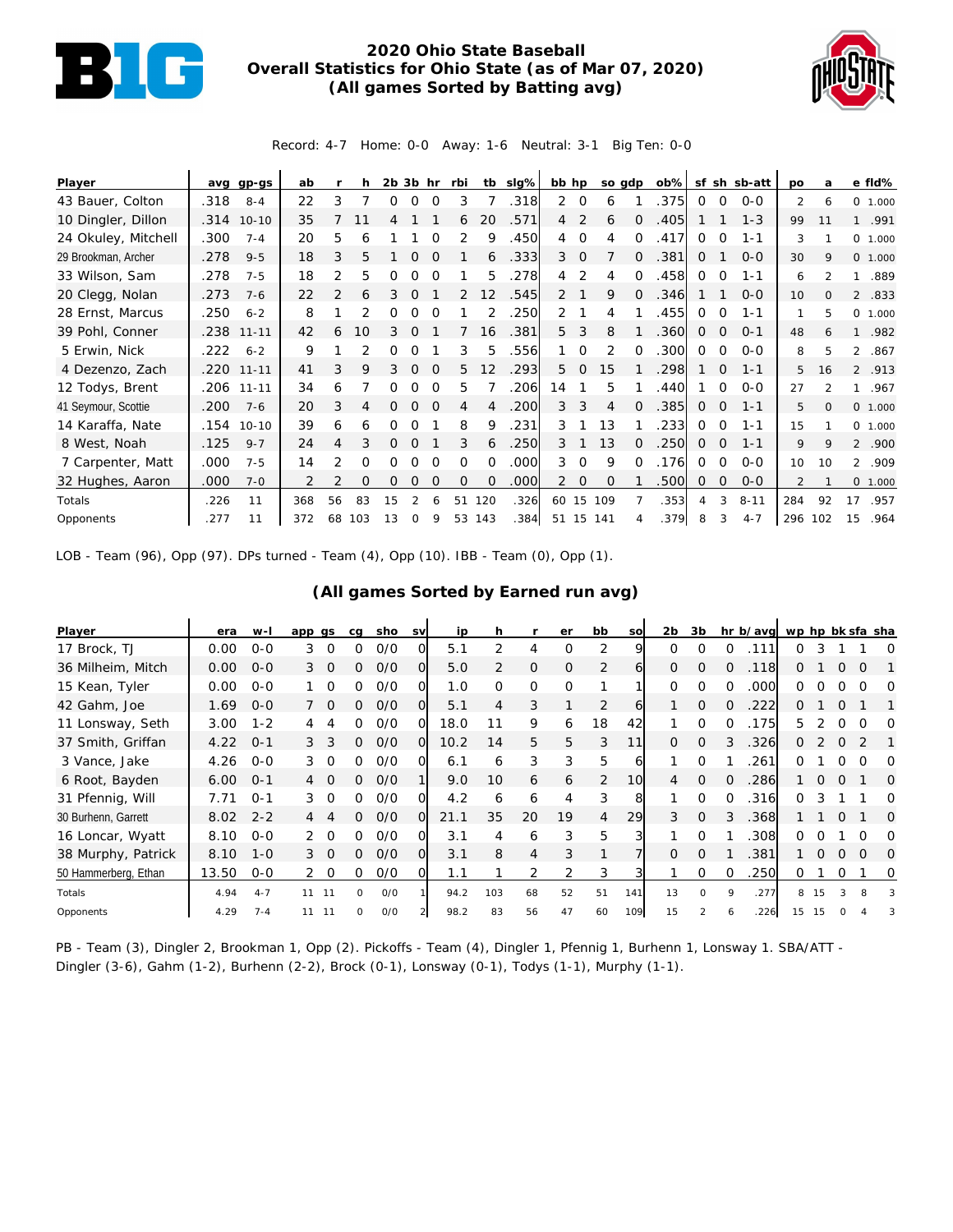

## **2020 Ohio State Baseball Overall Statistics for Ohio State (as of Mar 07, 2020) (All games Sorted by Batting avg)**



Record: 4-7 Home: 0-0 Away: 1-6 Neutral: 3-1 Big Ten: 0-0

| Player              | avq  | gp-gs      | ab  |               | h        | $2b$ $3b$ hr |             |          | rbi      |                 | tb slg% | bb hp          |                | so gdp   |          | $ob\%$ |              |          | sf sh sb-att | <b>DO</b>      | a               |                | e fld%   |
|---------------------|------|------------|-----|---------------|----------|--------------|-------------|----------|----------|-----------------|---------|----------------|----------------|----------|----------|--------|--------------|----------|--------------|----------------|-----------------|----------------|----------|
| 43 Bauer, Colton    | .318 | $8 - 4$    | 22  | 3             |          | 0            | 0           | 0        | 3        |                 | .318    | 2              | $\circ$        | 6        |          | .375   | 0            | 0        | $0 - 0$      | 2              | 6               |                | 0 1.000  |
| 10 Dingler, Dillon  |      | .314 10-10 | 35  |               | 11       | 4            |             |          | 6        | 20              | .571    | $\overline{4}$ | 2              | 6        | $\Omega$ | .405   |              |          | $1 - 3$      | 99             | 11              | $\mathbf{1}$   | .991     |
| 24 Okuley, Mitchell | .300 | $7 - 4$    | 20  | 5             | 6        |              |             |          |          | 9               | .450    | 4              | $\Omega$       | 4        | ∩        | .417   | 0            | $\Omega$ | 1-1          | 3              |                 |                | 0, 1,000 |
| 29 Brookman, Archer | .278 | $9 - 5$    | 18  | 3             | 5        |              | $\Omega$    |          |          | 6               | .333    | 3              | $\mathbf 0$    |          | 0        | .381   | 0            |          | $O - O$      | 30             | 9               |                | 0 1.000  |
| 33 Wilson, Sam      | .278 | $7 - 5$    | 18  | 2             | 5        | 0            | O           | $\Omega$ |          | 5               | .278    | 4              | 2              | 4        | $\Omega$ | .458   | $\Omega$     | $\Omega$ | $1 - 1$      | 6              | $\mathfrak{D}$  | 1              | .889     |
| 20 Clegg, Nolan     | .273 | $7 - 6$    | 22  | $\mathcal{P}$ | 6        | 3            | O           |          | 2        | 12              | .545    | 2              |                | 9        | $\Omega$ | .346   |              |          | $0 - 0$      | 10             | $\Omega$        | 2              | .833     |
| 28 Ernst, Marcus    | .250 | $6 - 2$    | 8   |               |          | 0            | 0           | $\Omega$ |          |                 | 250     | 2              |                | 4        |          | .455   | 0            | $\Omega$ | $1 - 1$      | 1              | 5               | $\circ$        | 1.000    |
| 39 Pohl, Conner     | .238 | $11 - 11$  | 42  | 6             | 10       | 3            | $\Omega$    |          |          | 16              | .381    | 5              | 3              | 8        |          | 360    | 0            | $\Omega$ | $O - 1$      | 48             | 6               | $\mathbf{1}$   | .982     |
| 5 Erwin, Nick       | .222 | $6 - 2$    | 9   |               |          | O            | O           |          | 3        | 5               | .556    |                | $\Omega$       | 2        | $\Omega$ | .300   | $\Omega$     | $\Omega$ | $O-O$        | 8              | 5               | $\mathcal{L}$  | .867     |
| 4 Dezenzo, Zach     |      | .220 11-11 | 41  | 3             | 9        | 3            | $\mathbf 0$ | 0        | 5        | 12 <sup>2</sup> | .293    | 5              | $\overline{0}$ | 15       |          | 298    |              | 0        | $1 - 1$      | 5              | 16              |                | 2 .913   |
| 12 Todys, Brent     |      | .206 11-11 | 34  | 6             |          | 0            | 0           | $\Omega$ | 5        |                 | .206    | 14             |                | 5        |          | .440   |              | $\Omega$ | $0 - 0$      | 27             | 2               | $\mathbf{1}$   | .967     |
| 41 Seymour, Scottie | .200 | $7 - 6$    | 20  | 3             | 4        | 0            | $\Omega$    | $\Omega$ | 4        | $\overline{A}$  | .200    | 3              | 3              | 4        | $\Omega$ | 385    | 0            | $\Omega$ | $1 - 1$      | 5              | $\Omega$        |                | 0 1.000  |
| 14 Karaffa, Nate    | .154 | $10 - 10$  | 39  | 6             | 6        | 0            | O           |          | 8        | 9               | .231    | 3              |                | 13       |          | .233   | 0            | $\Omega$ | $1 - 1$      | 15             |                 |                | 0 1.000  |
| 8 West, Noah        | .125 | $9 - 7$    | 24  | 4             | 3        | 0            | $\Omega$    |          | 3        | 6               | .250    | 3              |                | 13       | $\Omega$ | .250   | $\mathbf{0}$ | $\Omega$ | $1 - 1$      | 9              | 9               |                | 2 .900   |
| 7 Carpenter, Matt   | .000 | $7 - 5$    | 14  | 2             | 0        | 0            | O           | ∩        | $\Omega$ | $\Omega$        | .000    | 3              | $\Omega$       | 9        | $\Omega$ | .176   | $\Omega$     | $\Omega$ | $0 - 0$      | 10             | 10 <sup>2</sup> | $\overline{2}$ | .909     |
| 32 Hughes, Aaron    | .000 | $7 - 0$    |     |               | $\Omega$ | O            | $\Omega$    |          | $\Omega$ | $\Omega$        | .000    | 2              | $\overline{0}$ | $\Omega$ |          | 500    | 0            | $\circ$  | $0 - 0$      | $\overline{2}$ |                 |                | 0 1.000  |
| Totals              | .226 | 11         | 368 | 56            | 83       | 15           |             |          | 51       | 120             | .326    | 60             | 15             | 109      |          | .353   | 4            | 3        | $8 - 11$     | 284            | 92              | 17             | .957     |
| Opponents           | .277 | 11         | 372 | 68            | 103      | 13           | $\Omega$    | 9        | 53       | 143             | .384    | 51             | 15             | 141      |          | .379   | 8            | 3        | $4 - 7$      | 296            | 102             | 15             | .964     |

LOB - Team (96), Opp (97). DPs turned - Team (4), Opp (10). IBB - Team (0), Opp (1).

## **(All games Sorted by Earned run avg)**

| Player               | era   | w-l     | app gs         |          | cq       | sho | <b>SV</b> | ip   | h        |                | er       | bb | so              | 2 <sub>b</sub> | 3b            |          | hr b/avg | wp hp bk sfa sha |          |          |          |          |
|----------------------|-------|---------|----------------|----------|----------|-----|-----------|------|----------|----------------|----------|----|-----------------|----------------|---------------|----------|----------|------------------|----------|----------|----------|----------|
| 17 Brock, TJ         | 0.00  | $O-O$   | 3              | $\Omega$ | 0        | 0/0 |           | 5.1  |          | 4              | O        | 2  | 9               | $\Omega$       | O             | 0        | .111     | 0                |          |          |          | O        |
| 36 Milheim, Mitch    | 0.00  | $O - O$ | 3              | $\Omega$ | 0        | O/O | Ω         | 5.0  | 2        | $\mathbf{O}$   | $\Omega$ | 2  | 6               | $\overline{0}$ | $\Omega$      | $\Omega$ | .118     | 0                |          | O        | O        |          |
| 15 Kean, Tyler       | 0.00  | $0 - 0$ |                | $\Omega$ | 0        | O/O | 0         | 1.0  | $\Omega$ | $\mathbf 0$    | $\Omega$ | ◀  |                 | $\Omega$       | $\Omega$      | $\Omega$ | .000     | 0                |          |          |          | O        |
| 42 Gahm, Joe         | 1.69  | $O - O$ |                | $\Omega$ | 0        | O/O | 0         | 5.1  | 4        | 3              |          | 2  | 61              |                | $\mathcal{O}$ | $\Omega$ | 222      | $\Omega$         |          | $\Omega$ |          |          |
| 11 Lonsway, Seth     | 3.00  | $1 - 2$ | 4              | 4        | 0        | O/O | O         | 18.0 |          | 9              | 6        | 18 | 42              |                | $\Omega$      | 0        | 175      | 5.               |          | ∩        | O        | ∩        |
| 37 Smith, Griffan    | 4.22  | $0 - 1$ | 3              | 3        | 0        | O/O | $\Omega$  | 10.2 | 14       | 5              | 5        | 3  | 11              | $\Omega$       | $\Omega$      |          | .326     | Ω                |          | O        |          |          |
| 3 Vance, Jake        | 4.26  | $O-O$   | 3              | $\Omega$ | 0        | O/O | ი         | 6.1  | 6        | 3              | 3        | 5  | h               |                | $\Omega$      |          | 261      | 0                |          |          |          |          |
| 6 Root, Bayden       | 6.00  | $0 - 1$ | $\overline{4}$ | $\Omega$ | 0        | O/O |           | 9.0  | 10       | 6              | 6        | 2  | 10 <sup>1</sup> | $\overline{4}$ | $\Omega$      | $\Omega$ | .286     |                  | $\Omega$ | $\Omega$ |          | $\Omega$ |
| 31 Pfennig, Will     | 7.71  | $O - 1$ | 3              | $\Omega$ | ∩        | 0/0 | ∩         | 4.2  | 6        | 6              | 4        | 3  | 8               |                | $\Omega$      | $\Omega$ | .316     | 0                |          |          |          | ∩        |
| 30 Burhenn, Garrett  | 8.02  | $2 - 2$ | 4              |          | 0        | O/O | $\Omega$  | 21.1 | 35       | 20             | 19       | 4  | 29              | 3              | $\mathcal{O}$ | 3        | .368     |                  |          | O        |          | O        |
| 16 Loncar, Wyatt     | 8.10  | $O - O$ |                | $\Omega$ | ∩        | 0/0 |           | 3.1  | 4        | 6              | 3        | 5  |                 |                | $\Omega$      |          | 308      | 0                |          |          | Ω        | ∩        |
| 38 Murphy, Patrick   | 8.10  | $1 - 0$ | $3 \Omega$     |          | 0        | 0/0 | 0         | 3.1  | 8        | $\overline{4}$ | 3        | 1  |                 | $\Omega$       | $\Omega$      |          | .381     |                  |          |          | $\Omega$ | $\Omega$ |
| 50 Hammerberg, Ethan | 13.50 | $0 - 0$ | 2              | - 0      | 0        | O/O |           | 1.1  |          | 2              |          | 3  |                 |                | $\Omega$      | $\Omega$ | .250     | 0                |          | 0        |          | 0        |
| Totals               | 4.94  | $4 - 7$ | 11             | -11      | $\Omega$ | O/O |           | 94.2 | 103      | 68             | 52       | 51 | 141             | 13             | $\Omega$      | $\circ$  | .277     | 8                | 15       | 3        | 8        | 3        |
| Opponents            | 4.29  | $7 - 4$ | 11             | -11      | O        | O/O |           | 98.2 | 83       | 56             | 47       | 60 | 109             | 15             |               |          | .226     | 15               |          |          |          | 3        |

PB - Team (3), Dingler 2, Brookman 1, Opp (2). Pickoffs - Team (4), Dingler 1, Pfennig 1, Burhenn 1, Lonsway 1. SBA/ATT -Dingler (3-6), Gahm (1-2), Burhenn (2-2), Brock (0-1), Lonsway (0-1), Todys (1-1), Murphy (1-1).